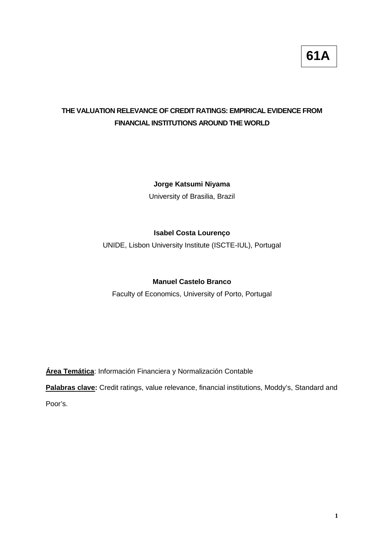## **THE VALUATION RELEVANCE OF CREDIT RATINGS: EMPIRICAL EVIDENCE FROM FINANCIAL INSTITUTIONS AROUND THE WORLD**

## **Jorge Katsumi Niyama**

University of Brasilia, Brazil

## **Isabel Costa Lourenço**

UNIDE, Lisbon University Institute (ISCTE-IUL), Portugal

## **Manuel Castelo Branco**

Faculty of Economics, University of Porto, Portugal

**Área Temática**: Información Financiera y Normalización Contable

**Palabras clave:** Credit ratings, value relevance, financial institutions, Moddy's, Standard and

Poor's.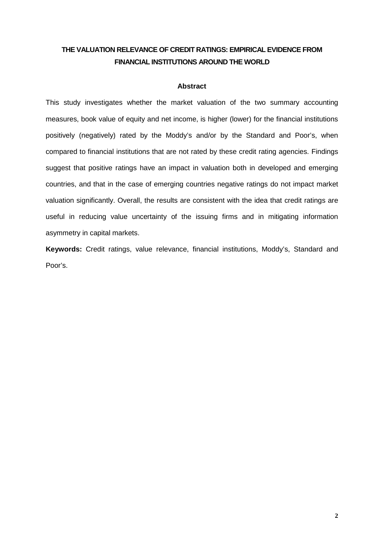## **THE VALUATION RELEVANCE OF CREDIT RATINGS: EMPIRICAL EVIDENCE FROM FINANCIAL INSTITUTIONS AROUND THE WORLD**

#### **Abstract**

This study investigates whether the market valuation of the two summary accounting measures, book value of equity and net income, is higher (lower) for the financial institutions positively (negatively) rated by the Moddy's and/or by the Standard and Poor's, when compared to financial institutions that are not rated by these credit rating agencies. Findings suggest that positive ratings have an impact in valuation both in developed and emerging countries, and that in the case of emerging countries negative ratings do not impact market valuation significantly. Overall, the results are consistent with the idea that credit ratings are useful in reducing value uncertainty of the issuing firms and in mitigating information asymmetry in capital markets.

**Keywords:** Credit ratings, value relevance, financial institutions, Moddy's, Standard and Poor's.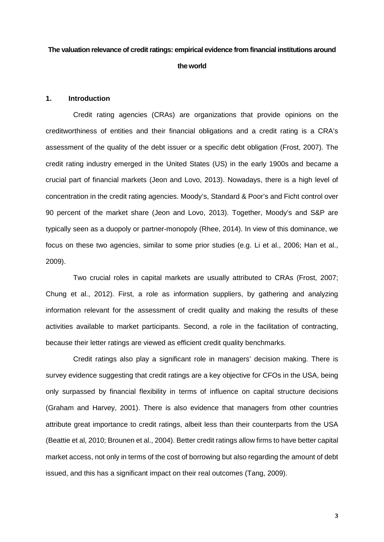# **The valuation relevance of credit ratings: empirical evidence from financial institutions around the world**

### **1. Introduction**

Credit rating agencies (CRAs) are organizations that provide opinions on the creditworthiness of entities and their financial obligations and a credit rating is a CRA's assessment of the quality of the debt issuer or a specific debt obligation (Frost, 2007). The credit rating industry emerged in the United States (US) in the early 1900s and became a crucial part of financial markets (Jeon and Lovo, 2013). Nowadays, there is a high level of concentration in the credit rating agencies. Moody's, Standard & Poor's and Ficht control over 90 percent of the market share (Jeon and Lovo, 2013). Together, Moody's and S&P are typically seen as a duopoly or partner-monopoly (Rhee, 2014). In view of this dominance, we focus on these two agencies, similar to some prior studies (e.g. Li et al., 2006; Han et al., 2009).

Two crucial roles in capital markets are usually attributed to CRAs (Frost, 2007; Chung et al., 2012). First, a role as information suppliers, by gathering and analyzing information relevant for the assessment of credit quality and making the results of these activities available to market participants. Second, a role in the facilitation of contracting, because their letter ratings are viewed as efficient credit quality benchmarks.

Credit ratings also play a significant role in managers' decision making. There is survey evidence suggesting that credit ratings are a key objective for CFOs in the USA, being only surpassed by financial flexibility in terms of influence on capital structure decisions (Graham and Harvey, 2001). There is also evidence that managers from other countries attribute great importance to credit ratings, albeit less than their counterparts from the USA (Beattie et al, 2010; Brounen et al., 2004). Better credit ratings allow firms to have better capital market access, not only in terms of the cost of borrowing but also regarding the amount of debt issued, and this has a significant impact on their real outcomes (Tang, 2009).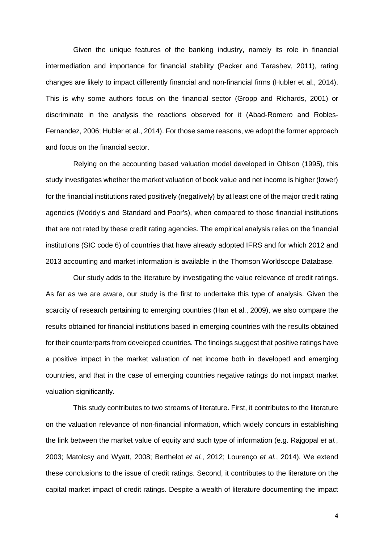Given the unique features of the banking industry, namely its role in financial intermediation and importance for financial stability (Packer and Tarashev, 2011), rating changes are likely to impact differently financial and non-financial firms (Hubler et al., 2014). This is why some authors focus on the financial sector (Gropp and Richards, 2001) or discriminate in the analysis the reactions observed for it (Abad-Romero and Robles-Fernandez, 2006; Hubler et al., 2014). For those same reasons, we adopt the former approach and focus on the financial sector.

Relying on the accounting based valuation model developed in Ohlson (1995), this study investigates whether the market valuation of book value and net income is higher (lower) for the financial institutions rated positively (negatively) by at least one of the major credit rating agencies (Moddy's and Standard and Poor's), when compared to those financial institutions that are not rated by these credit rating agencies. The empirical analysis relies on the financial institutions (SIC code 6) of countries that have already adopted IFRS and for which 2012 and 2013 accounting and market information is available in the Thomson Worldscope Database.

Our study adds to the literature by investigating the value relevance of credit ratings. As far as we are aware, our study is the first to undertake this type of analysis. Given the scarcity of research pertaining to emerging countries (Han et al., 2009), we also compare the results obtained for financial institutions based in emerging countries with the results obtained for their counterparts from developed countries. The findings suggest that positive ratings have a positive impact in the market valuation of net income both in developed and emerging countries, and that in the case of emerging countries negative ratings do not impact market valuation significantly.

This study contributes to two streams of literature. First, it contributes to the literature on the valuation relevance of non-financial information, which widely concurs in establishing the link between the market value of equity and such type of information (e.g. Rajgopal *et al.*, 2003; Matolcsy and Wyatt, 2008; Berthelot *et al.*, 2012; Lourenço *et al.*, 2014). We extend these conclusions to the issue of credit ratings. Second, it contributes to the literature on the capital market impact of credit ratings. Despite a wealth of literature documenting the impact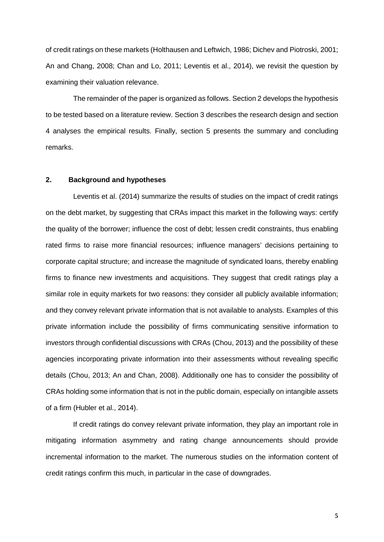of credit ratings on these markets (Holthausen and Leftwich, 1986; Dichev and Piotroski, 2001; An and Chang, 2008; Chan and Lo, 2011; Leventis et al., 2014), we revisit the question by examining their valuation relevance.

The remainder of the paper is organized as follows. Section 2 develops the hypothesis to be tested based on a literature review. Section 3 describes the research design and section 4 analyses the empirical results. Finally, section 5 presents the summary and concluding remarks.

## **2. Background and hypotheses**

Leventis et al. (2014) summarize the results of studies on the impact of credit ratings on the debt market, by suggesting that CRAs impact this market in the following ways: certify the quality of the borrower; influence the cost of debt; lessen credit constraints, thus enabling rated firms to raise more financial resources; influence managers' decisions pertaining to corporate capital structure; and increase the magnitude of syndicated loans, thereby enabling firms to finance new investments and acquisitions. They suggest that credit ratings play a similar role in equity markets for two reasons: they consider all publicly available information; and they convey relevant private information that is not available to analysts. Examples of this private information include the possibility of firms communicating sensitive information to investors through confidential discussions with CRAs (Chou, 2013) and the possibility of these agencies incorporating private information into their assessments without revealing specific details (Chou, 2013; An and Chan, 2008). Additionally one has to consider the possibility of CRAs holding some information that is not in the public domain, especially on intangible assets of a firm (Hubler et al., 2014).

If credit ratings do convey relevant private information, they play an important role in mitigating information asymmetry and rating change announcements should provide incremental information to the market. The numerous studies on the information content of credit ratings confirm this much, in particular in the case of downgrades.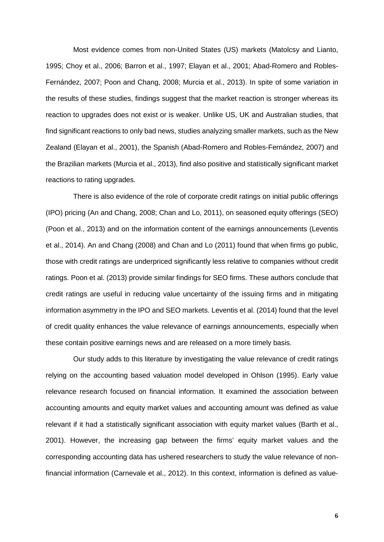Most evidence comes from non-United States (US) markets (Matolcsy and Lianto, 1995; Choy et al., 2006; Barron et al., 1997; Elayan et al., 2001; Abad-Romero and Robles-Fernández, 2007; Poon and Chang, 2008; Murcia et al., 2013). In spite of some variation in the results of these studies, findings suggest that the market reaction is stronger whereas its reaction to upgrades does not exist or is weaker. Unlike US, UK and Australian studies, that find significant reactions to only bad news, studies analyzing smaller markets, such as the New Zealand (Elayan et al., 2001), the Spanish (Abad-Romero and Robles-Fernández, 2007) and the Brazilian markets (Murcia et al., 2013), find also positive and statistically significant market reactions to rating upgrades.

There is also evidence of the role of corporate credit ratings on initial public offerings (IPO) pricing (An and Chang, 2008; Chan and Lo, 2011), on seasoned equity offerings (SEO) (Poon et al., 2013) and on the information content of the earnings announcements (Leventis et al., 2014). An and Chang (2008) and Chan and Lo (2011) found that when firms go public, those with credit ratings are underpriced significantly less relative to companies without credit ratings. Poon et al. (2013) provide similar findings for SEO firms. These authors conclude that credit ratings are useful in reducing value uncertainty of the issuing firms and in mitigating information asymmetry in the IPO and SEO markets. Leventis et al. (2014) found that the level of credit quality enhances the value relevance of earnings announcements, especially when these contain positive earnings news and are released on a more timely basis.

Our study adds to this literature by investigating the value relevance of credit ratings relying on the accounting based valuation model developed in Ohlson (1995). Early value relevance research focused on financial information. It examined the association between accounting amounts and equity market values and accounting amount was defined as value relevant if it had a statistically significant association with equity market values (Barth et al., 2001). However, the increasing gap between the firms' equity market values and the corresponding accounting data has ushered researchers to study the value relevance of nonfinancial information (Carnevale et al., 2012). In this context, information is defined as value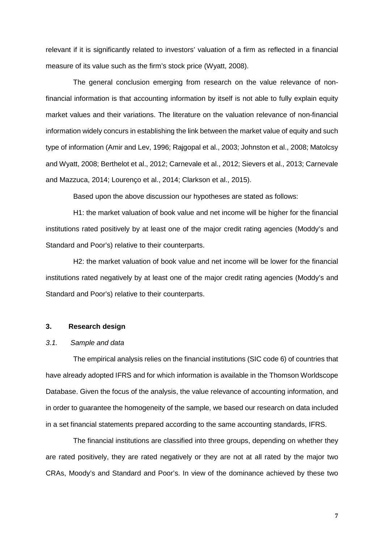relevant if it is significantly related to investors' valuation of a firm as reflected in a financial measure of its value such as the firm's stock price (Wyatt, 2008).

The general conclusion emerging from research on the value relevance of nonfinancial information is that accounting information by itself is not able to fully explain equity market values and their variations. The literature on the valuation relevance of non-financial information widely concurs in establishing the link between the market value of equity and such type of information (Amir and Lev, 1996; Rajgopal et al., 2003; Johnston et al., 2008; Matolcsy and Wyatt, 2008; Berthelot et al., 2012; Carnevale et al., 2012; Sievers et al., 2013; Carnevale and Mazzuca, 2014; Lourenço et al., 2014; Clarkson et al., 2015).

Based upon the above discussion our hypotheses are stated as follows:

H1: the market valuation of book value and net income will be higher for the financial institutions rated positively by at least one of the major credit rating agencies (Moddy's and Standard and Poor's) relative to their counterparts.

H2: the market valuation of book value and net income will be lower for the financial institutions rated negatively by at least one of the major credit rating agencies (Moddy's and Standard and Poor's) relative to their counterparts.

#### **3. Research design**

#### *3.1. Sample and data*

The empirical analysis relies on the financial institutions (SIC code 6) of countries that have already adopted IFRS and for which information is available in the Thomson Worldscope Database. Given the focus of the analysis, the value relevance of accounting information, and in order to guarantee the homogeneity of the sample, we based our research on data included in a set financial statements prepared according to the same accounting standards, IFRS.

The financial institutions are classified into three groups, depending on whether they are rated positively, they are rated negatively or they are not at all rated by the major two CRAs, Moody's and Standard and Poor's. In view of the dominance achieved by these two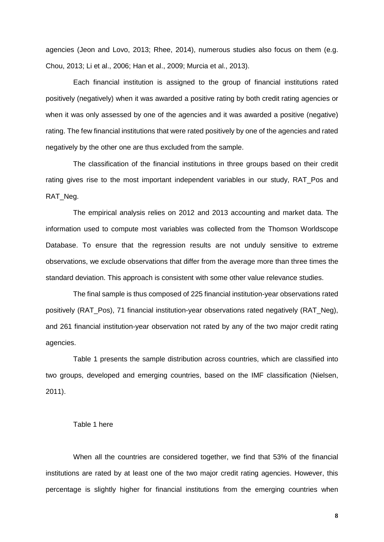agencies (Jeon and Lovo, 2013; Rhee, 2014), numerous studies also focus on them (e.g. Chou, 2013; Li et al., 2006; Han et al., 2009; Murcia et al., 2013).

Each financial institution is assigned to the group of financial institutions rated positively (negatively) when it was awarded a positive rating by both credit rating agencies or when it was only assessed by one of the agencies and it was awarded a positive (negative) rating. The few financial institutions that were rated positively by one of the agencies and rated negatively by the other one are thus excluded from the sample.

The classification of the financial institutions in three groups based on their credit rating gives rise to the most important independent variables in our study. RAT Pos and RAT\_Neg.

The empirical analysis relies on 2012 and 2013 accounting and market data. The information used to compute most variables was collected from the Thomson Worldscope Database. To ensure that the regression results are not unduly sensitive to extreme observations, we exclude observations that differ from the average more than three times the standard deviation. This approach is consistent with some other value relevance studies.

The final sample is thus composed of 225 financial institution-year observations rated positively (RAT\_Pos), 71 financial institution-year observations rated negatively (RAT\_Neg), and 261 financial institution-year observation not rated by any of the two major credit rating agencies.

Table 1 presents the sample distribution across countries, which are classified into two groups, developed and emerging countries, based on the IMF classification (Nielsen, 2011).

#### Table 1 here

When all the countries are considered together, we find that 53% of the financial institutions are rated by at least one of the two major credit rating agencies. However, this percentage is slightly higher for financial institutions from the emerging countries when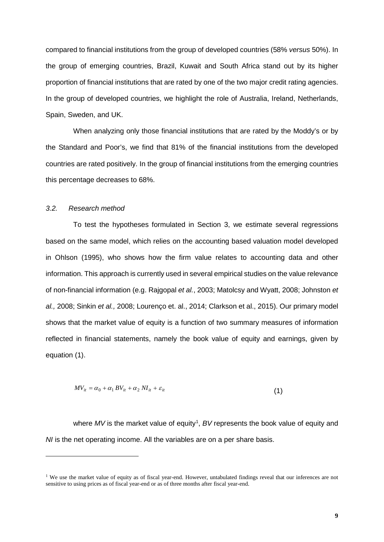compared to financial institutions from the group of developed countries (58% *versus* 50%). In the group of emerging countries, Brazil, Kuwait and South Africa stand out by its higher proportion of financial institutions that are rated by one of the two major credit rating agencies. In the group of developed countries, we highlight the role of Australia, Ireland, Netherlands, Spain, Sweden, and UK.

When analyzing only those financial institutions that are rated by the Moddy's or by the Standard and Poor's, we find that 81% of the financial institutions from the developed countries are rated positively. In the group of financial institutions from the emerging countries this percentage decreases to 68%.

### *3.2. Research method*

To test the hypotheses formulated in Section 3, we estimate several regressions based on the same model, which relies on the accounting based valuation model developed in Ohlson (1995), who shows how the firm value relates to accounting data and other information. This approach is currently used in several empirical studies on the value relevance of non-financial information (e.g. Rajgopal *et al.*, 2003; Matolcsy and Wyatt, 2008; Johnston *et al.,* 2008; Sinkin *et al.,* 2008; Lourenço et. al., 2014; Clarkson et al., 2015). Our primary model shows that the market value of equity is a function of two summary measures of information reflected in financial statements, namely the book value of equity and earnings, given by equation (1).

$$
MV_{it} = \alpha_0 + \alpha_1 BV_{it} + \alpha_2 NI_{it} + \varepsilon_{it}
$$
\n(1)

where MV is the market value of equity<sup>[1](#page-8-0)</sup>, BV represents the book value of equity and *NI* is the net operating income. All the variables are on a per share basis.

<span id="page-8-0"></span><sup>&</sup>lt;sup>1</sup> We use the market value of equity as of fiscal year-end. However, untabulated findings reveal that our inferences are not sensitive to using prices as of fiscal year-end or as of three months after fiscal year-end.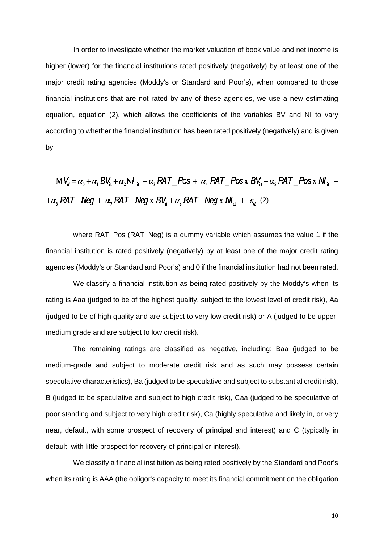In order to investigate whether the market valuation of book value and net income is higher (lower) for the financial institutions rated positively (negatively) by at least one of the major credit rating agencies (Moddy's or Standard and Poor's), when compared to those financial institutions that are not rated by any of these agencies, we use a new estimating equation, equation (2), which allows the coefficients of the variables BV and NI to vary according to whether the financial institution has been rated positively (negatively) and is given by

$$
MV_{it} = \alpha_0 + \alpha_1 BV_{it} + \alpha_2 NI_{it} + \alpha_3 RAT_Pos + \alpha_4 RAT_Pos x BV_{it} + \alpha_5 RAT_Pos x NI_{it} +
$$
  
+
$$
\alpha_6 RAT_Nleg + \alpha_7 RAT_Nleg x BV_{it} + \alpha_8 RAT_Nleg x NI_{it} + \varepsilon_{it} (2)
$$

where RAT Pos (RAT Neg) is a dummy variable which assumes the value 1 if the financial institution is rated positively (negatively) by at least one of the major credit rating agencies (Moddy's or Standard and Poor's) and 0 if the financial institution had not been rated.

We classify a financial institution as being rated positively by the Moddy's when its rating is Aaa (judged to be of the highest quality, subject to the lowest level of credit risk), Aa (judged to be of high quality and are subject to very low credit risk) or A (judged to be uppermedium grade and are subject to low credit risk).

The remaining ratings are classified as negative, including: Baa (judged to be medium-grade and subject to moderate credit risk and as such may possess certain speculative characteristics), Ba (judged to be speculative and subject to substantial credit risk), B (judged to be speculative and subject to high credit risk), Caa (judged to be speculative of poor standing and subject to very high credit risk), Ca (highly speculative and likely in, or very near, default, with some prospect of recovery of principal and interest) and C (typically in default, with little prospect for recovery of principal or interest).

We classify a financial institution as being rated positively by the Standard and Poor's when its rating is AAA (the obligor's capacity to meet its financial commitment on the obligation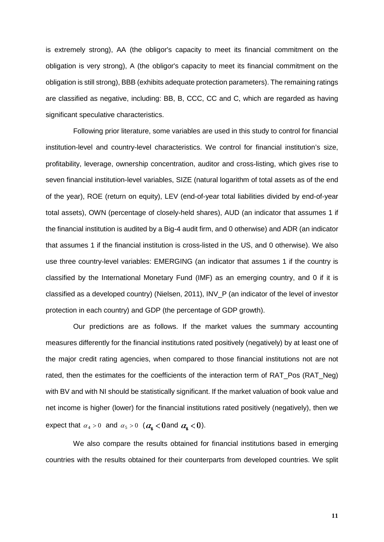is extremely strong), AA (the obligor's capacity to meet its financial commitment on the obligation is very strong), A (the obligor's capacity to meet its financial commitment on the obligation is still strong), BBB (exhibits adequate protection parameters). The remaining ratings are classified as negative, including: BB, B, CCC, CC and C, which are regarded as having significant speculative characteristics.

Following prior literature, some variables are used in this study to control for financial institution-level and country-level characteristics. We control for financial institution's size, profitability, leverage, ownership concentration, auditor and cross-listing, which gives rise to seven financial institution-level variables, SIZE (natural logarithm of total assets as of the end of the year), ROE (return on equity), LEV (end-of-year total liabilities divided by end-of-year total assets), OWN (percentage of closely-held shares), AUD (an indicator that assumes 1 if the financial institution is audited by a Big-4 audit firm, and 0 otherwise) and ADR (an indicator that assumes 1 if the financial institution is cross-listed in the US, and 0 otherwise). We also use three country-level variables: EMERGING (an indicator that assumes 1 if the country is classified by the International Monetary Fund (IMF) as an emerging country, and 0 if it is classified as a developed country) (Nielsen, 2011), INV\_P (an indicator of the level of investor protection in each country) and GDP (the percentage of GDP growth).

Our predictions are as follows. If the market values the summary accounting measures differently for the financial institutions rated positively (negatively) by at least one of the major credit rating agencies, when compared to those financial institutions not are not rated, then the estimates for the coefficients of the interaction term of RAT\_Pos (RAT\_Neg) with BV and with NI should be statistically significant. If the market valuation of book value and net income is higher (lower) for the financial institutions rated positively (negatively), then we expect that  $\alpha_4 > 0$  and  $\alpha_5 > 0$  ( $\alpha_8 < 0$  and  $\alpha_8 < 0$ ).

We also compare the results obtained for financial institutions based in emerging countries with the results obtained for their counterparts from developed countries. We split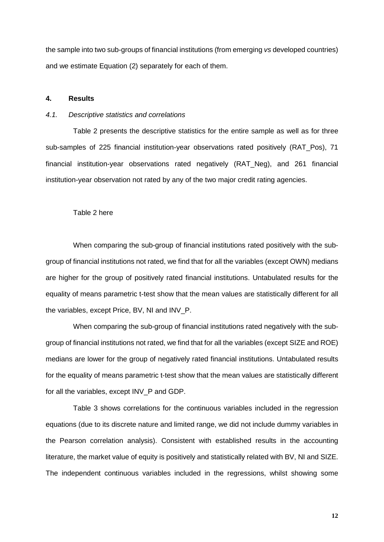the sample into two sub-groups of financial institutions (from emerging *vs* developed countries) and we estimate Equation (2) separately for each of them.

### **4. Results**

#### *4.1. Descriptive statistics and correlations*

Table 2 presents the descriptive statistics for the entire sample as well as for three sub-samples of 225 financial institution-year observations rated positively (RAT\_Pos), 71 financial institution-year observations rated negatively (RAT\_Neg), and 261 financial institution-year observation not rated by any of the two major credit rating agencies.

#### Table 2 here

When comparing the sub-group of financial institutions rated positively with the subgroup of financial institutions not rated, we find that for all the variables (except OWN) medians are higher for the group of positively rated financial institutions. Untabulated results for the equality of means parametric t-test show that the mean values are statistically different for all the variables, except Price, BV, NI and INV\_P.

When comparing the sub-group of financial institutions rated negatively with the subgroup of financial institutions not rated, we find that for all the variables (except SIZE and ROE) medians are lower for the group of negatively rated financial institutions. Untabulated results for the equality of means parametric t-test show that the mean values are statistically different for all the variables, except INV\_P and GDP.

Table 3 shows correlations for the continuous variables included in the regression equations (due to its discrete nature and limited range, we did not include dummy variables in the Pearson correlation analysis). Consistent with established results in the accounting literature, the market value of equity is positively and statistically related with BV, NI and SIZE. The independent continuous variables included in the regressions, whilst showing some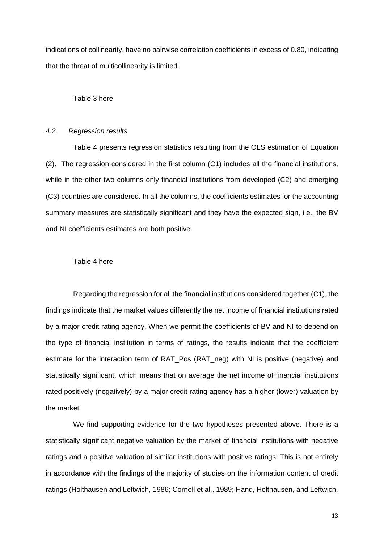indications of collinearity, have no pairwise correlation coefficients in excess of 0.80, indicating that the threat of multicollinearity is limited.

#### Table 3 here

### *4.2. Regression results*

Table 4 presents regression statistics resulting from the OLS estimation of Equation (2). The regression considered in the first column (C1) includes all the financial institutions, while in the other two columns only financial institutions from developed (C2) and emerging (C3) countries are considered. In all the columns, the coefficients estimates for the accounting summary measures are statistically significant and they have the expected sign, i.e., the BV and NI coefficients estimates are both positive.

#### Table 4 here

Regarding the regression for all the financial institutions considered together (C1), the findings indicate that the market values differently the net income of financial institutions rated by a major credit rating agency. When we permit the coefficients of BV and NI to depend on the type of financial institution in terms of ratings, the results indicate that the coefficient estimate for the interaction term of RAT\_Pos (RAT\_neg) with NI is positive (negative) and statistically significant, which means that on average the net income of financial institutions rated positively (negatively) by a major credit rating agency has a higher (lower) valuation by the market.

We find supporting evidence for the two hypotheses presented above. There is a statistically significant negative valuation by the market of financial institutions with negative ratings and a positive valuation of similar institutions with positive ratings. This is not entirely in accordance with the findings of the majority of studies on the information content of credit ratings (Holthausen and Leftwich, 1986; Cornell et al., 1989; Hand, Holthausen, and Leftwich,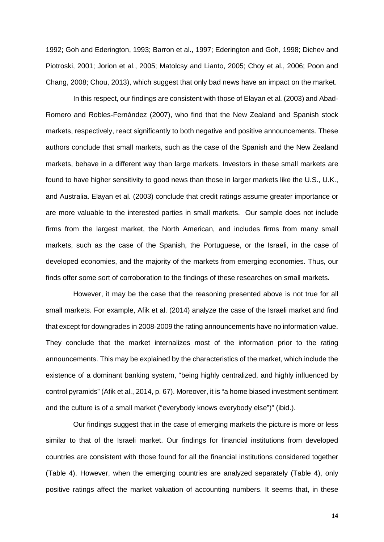1992; Goh and Ederington, 1993; Barron et al., 1997; Ederington and Goh, 1998; Dichev and Piotroski, 2001; Jorion et al., 2005; Matolcsy and Lianto, 2005; Choy et al., 2006; Poon and Chang, 2008; Chou, 2013), which suggest that only bad news have an impact on the market.

In this respect, our findings are consistent with those of Elayan et al. (2003) and Abad-Romero and Robles-Fernández (2007), who find that the New Zealand and Spanish stock markets, respectively, react significantly to both negative and positive announcements. These authors conclude that small markets, such as the case of the Spanish and the New Zealand markets, behave in a different way than large markets. Investors in these small markets are found to have higher sensitivity to good news than those in larger markets like the U.S., U.K., and Australia. Elayan et al. (2003) conclude that credit ratings assume greater importance or are more valuable to the interested parties in small markets. Our sample does not include firms from the largest market, the North American, and includes firms from many small markets, such as the case of the Spanish, the Portuguese, or the Israeli, in the case of developed economies, and the majority of the markets from emerging economies. Thus, our finds offer some sort of corroboration to the findings of these researches on small markets.

However, it may be the case that the reasoning presented above is not true for all small markets. For example, Afik et al. (2014) analyze the case of the Israeli market and find that except for downgrades in 2008-2009 the rating announcements have no information value. They conclude that the market internalizes most of the information prior to the rating announcements. This may be explained by the characteristics of the market, which include the existence of a dominant banking system, "being highly centralized, and highly influenced by control pyramids" (Afik et al., 2014, p. 67). Moreover, it is "a home biased investment sentiment and the culture is of a small market ("everybody knows everybody else")" (ibid.).

Our findings suggest that in the case of emerging markets the picture is more or less similar to that of the Israeli market. Our findings for financial institutions from developed countries are consistent with those found for all the financial institutions considered together (Table 4). However, when the emerging countries are analyzed separately (Table 4), only positive ratings affect the market valuation of accounting numbers. It seems that, in these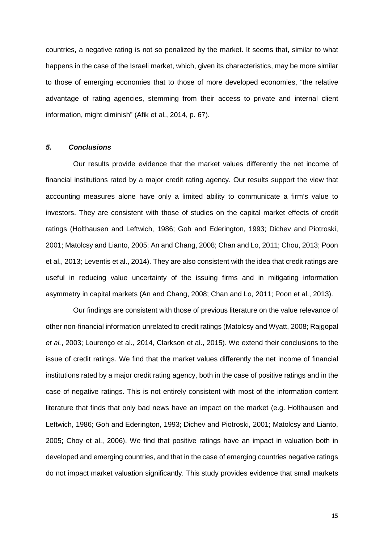countries, a negative rating is not so penalized by the market. It seems that, similar to what happens in the case of the Israeli market, which, given its characteristics, may be more similar to those of emerging economies that to those of more developed economies, "the relative advantage of rating agencies, stemming from their access to private and internal client information, might diminish" (Afik et al., 2014, p. 67).

## *5. Conclusions*

Our results provide evidence that the market values differently the net income of financial institutions rated by a major credit rating agency. Our results support the view that accounting measures alone have only a limited ability to communicate a firm's value to investors. They are consistent with those of studies on the capital market effects of credit ratings (Holthausen and Leftwich, 1986; Goh and Ederington, 1993; Dichev and Piotroski, 2001; Matolcsy and Lianto, 2005; An and Chang, 2008; Chan and Lo, 2011; Chou, 2013; Poon et al., 2013; Leventis et al., 2014). They are also consistent with the idea that credit ratings are useful in reducing value uncertainty of the issuing firms and in mitigating information asymmetry in capital markets (An and Chang, 2008; Chan and Lo, 2011; Poon et al., 2013).

Our findings are consistent with those of previous literature on the value relevance of other non-financial information unrelated to credit ratings (Matolcsy and Wyatt, 2008; Rajgopal *et al.*, 2003; Lourenço et al., 2014, Clarkson et al., 2015). We extend their conclusions to the issue of credit ratings. We find that the market values differently the net income of financial institutions rated by a major credit rating agency, both in the case of positive ratings and in the case of negative ratings. This is not entirely consistent with most of the information content literature that finds that only bad news have an impact on the market (e.g. Holthausen and Leftwich, 1986; Goh and Ederington, 1993; Dichev and Piotroski, 2001; Matolcsy and Lianto, 2005; Choy et al., 2006). We find that positive ratings have an impact in valuation both in developed and emerging countries, and that in the case of emerging countries negative ratings do not impact market valuation significantly. This study provides evidence that small markets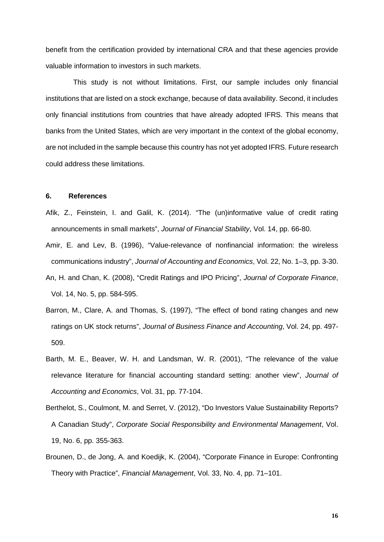benefit from the certification provided by international CRA and that these agencies provide valuable information to investors in such markets.

This study is not without limitations. First, our sample includes only financial institutions that are listed on a stock exchange, because of data availability. Second, it includes only financial institutions from countries that have already adopted IFRS. This means that banks from the United States, which are very important in the context of the global economy, are not included in the sample because this country has not yet adopted IFRS. Future research could address these limitations.

### **6. References**

- Afik, Z., Feinstein, I. and Galil, K. (2014). "The (un)informative value of credit rating announcements in small markets", *Journal of Financial Stability*, Vol. 14, pp. 66-80.
- Amir, E. and Lev, B. (1996), "Value-relevance of nonfinancial information: the wireless communications industry", *Journal of Accounting and Economics*, Vol. 22, No. 1–3, pp. 3-30.
- An, H. and Chan, K. (2008), "Credit Ratings and IPO Pricing", *Journal of Corporate Finance*, Vol. 14, No. 5, pp. 584-595.
- Barron, M., Clare, A. and Thomas, S. (1997), "The effect of bond rating changes and new ratings on UK stock returns", *Journal of Business Finance and Accounting*, Vol. 24, pp. 497- 509.
- Barth, M. E., Beaver, W. H. and Landsman, W. R. (2001), "The relevance of the value relevance literature for financial accounting standard setting: another view", *Journal of Accounting and Economics*, Vol. 31, pp. 77-104.
- Berthelot, S., Coulmont, M. and Serret, V. (2012), "Do Investors Value Sustainability Reports? A Canadian Study", *Corporate Social Responsibility and Environmental Management*, Vol. 19, No. 6, pp. 355-363.
- Brounen, D., de Jong, A. and Koedijk, K. (2004), "Corporate Finance in Europe: Confronting Theory with Practice", *Financial Management*, Vol. 33, No. 4, pp. 71–101.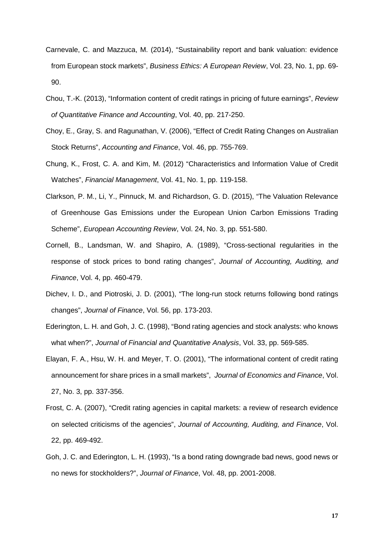- Carnevale, C. and Mazzuca, M. (2014), "Sustainability report and bank valuation: evidence from European stock markets", *Business Ethics: A European Review*, Vol. 23, No. 1, pp. 69- 90.
- Chou, T.-K. (2013), "Information content of credit ratings in pricing of future earnings", *Review of Quantitative Finance and Accounting*, Vol. 40, pp. 217-250.
- Choy, E., Gray, S. and Ragunathan, V. (2006), "Effect of Credit Rating Changes on Australian Stock Returns", *Accounting and Finance*, Vol. 46, pp. 755-769.
- Chung, K., Frost, C. A. and Kim, M. (2012) "Characteristics and Information Value of Credit Watches", *Financial Management*, Vol. 41, No. 1, pp. 119-158.
- Clarkson, P. M., Li, Y., Pinnuck, M. and Richardson, G. D. (2015), "The Valuation Relevance of Greenhouse Gas Emissions under the European Union Carbon Emissions Trading Scheme", *European Accounting Review*, Vol. 24, No. 3, pp. 551-580.
- Cornell, B., Landsman, W. and Shapiro, A. (1989), "Cross-sectional regularities in the response of stock prices to bond rating changes", *Journal of Accounting, Auditing, and Finance*, Vol. 4, pp. 460-479.
- Dichev, I. D., and Piotroski, J. D. (2001), "The long-run stock returns following bond ratings changes", *Journal of Finance*, Vol. 56, pp. 173-203.
- Ederington, L. H. and Goh, J. C. (1998), "Bond rating agencies and stock analysts: who knows what when?", *Journal of Financial and Quantitative Analysis*, Vol. 33, pp. 569-585.
- Elayan, F. A., Hsu, W. H. and Meyer, T. O. (2001), "The informational content of credit rating announcement for share prices in a small markets", *Journal of Economics and Finance*, Vol. 27, No. 3, pp. 337-356.
- Frost, C. A. (2007), "Credit rating agencies in capital markets: a review of research evidence on selected criticisms of the agencies", *Journal of Accounting, Auditing, and Finance*, Vol. 22, pp. 469-492.
- Goh, J. C. and Ederington, L. H. (1993), "Is a bond rating downgrade bad news, good news or no news for stockholders?", *Journal of Finance*, Vol. 48, pp. 2001-2008.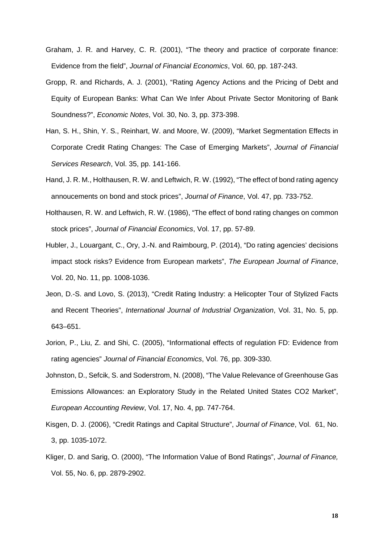- Graham, J. R. and Harvey, C. R. (2001), "The theory and practice of corporate finance: Evidence from the field", *Journal of Financial Economics*, Vol. 60, pp. 187-243.
- Gropp, R. and Richards, A. J. (2001), "Rating Agency Actions and the Pricing of Debt and Equity of European Banks: What Can We Infer About Private Sector Monitoring of Bank Soundness?", *Economic Notes*, Vol. 30, No. 3, pp. 373-398.
- Han, S. H., Shin, Y. S., Reinhart, W. and Moore, W. (2009), "Market Segmentation Effects in Corporate Credit Rating Changes: The Case of Emerging Markets", *Journal of Financial Services Research*, Vol. 35, pp. 141-166.
- Hand, J. R. M., Holthausen, R. W. and Leftwich, R. W. (1992), "The effect of bond rating agency annoucements on bond and stock prices", *Journal of Finance*, Vol. 47, pp. 733-752.
- Holthausen, R. W. and Leftwich, R. W. (1986), "The effect of bond rating changes on common stock prices", *Journal of Financial Economics*, Vol. 17, pp. 57-89.
- Hubler, J., Louargant, C., Ory, J.-N. and Raimbourg, P. (2014), "Do rating agencies' decisions impact stock risks? Evidence from European markets", *The European Journal of Finance*, Vol. 20, No. 11, pp. 1008-1036.
- Jeon, D.-S. and Lovo, S. (2013), "Credit Rating Industry: a Helicopter Tour of Stylized Facts and Recent Theories", *International Journal of Industrial Organization*, Vol. 31, No. 5, pp. 643–651.
- Jorion, P., Liu, Z. and Shi, C. (2005), "Informational effects of regulation FD: Evidence from rating agencies" *Journal of Financial Economics*, Vol. 76, pp. 309-330.
- Johnston, D., Sefcik, S. and Soderstrom, N. (2008), "The Value Relevance of Greenhouse Gas Emissions Allowances: an Exploratory Study in the Related United States CO2 Market", *European Accounting Review*, Vol. 17, No. 4, pp. 747-764.
- Kisgen, D. J. (2006), "Credit Ratings and Capital Structure", *Journal of Finance*, Vol. 61, No. 3, pp. 1035-1072.
- Kliger, D. and Sarig, O. (2000), "The Information Value of Bond Ratings", *Journal of Finance,* Vol. 55, No. 6, pp. 2879-2902.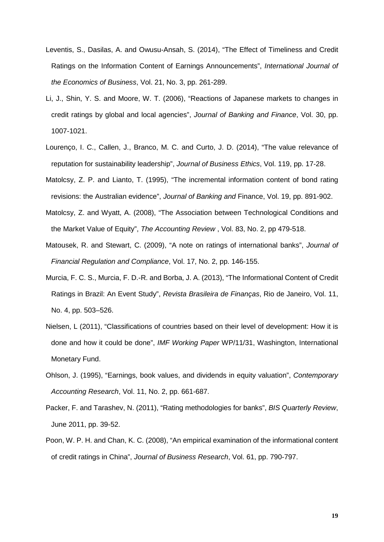- Leventis, S., Dasilas, A. and Owusu-Ansah, S. (2014), "The Effect of Timeliness and Credit Ratings on the Information Content of Earnings Announcements", *International Journal of the Economics of Business*, Vol. 21, No. 3, pp. 261-289.
- Li, J., Shin, Y. S. and Moore, W. T. (2006), "Reactions of Japanese markets to changes in credit ratings by global and local agencies", *Journal of Banking and Finance*, Vol. 30, pp. 1007-1021.
- Lourenço, I. C., Callen, J., Branco, M. C. and Curto, J. D. (2014), "The value relevance of reputation for sustainability leadership", *Journal of Business Ethics*, Vol. 119, pp. 17-28.
- Matolcsy, Z. P. and Lianto, T. (1995), "The incremental information content of bond rating revisions: the Australian evidence", *Journal of Banking and* Finance, Vol. 19, pp. 891-902.
- Matolcsy, Z. and Wyatt, A. (2008), "The Association between Technological Conditions and the Market Value of Equity", *The Accounting Review* , Vol. 83, No. 2, pp 479-518.
- Matousek, R. and Stewart, C. (2009), "A note on ratings of international banks", *Journal of Financial Regulation and Compliance*, Vol. 17, No. 2, pp. 146-155.
- Murcia, F. C. S., Murcia, F. D.-R. and Borba, J. A. (2013), "The Informational Content of Credit Ratings in Brazil: An Event Study", *Revista Brasileira de Finanças*, Rio de Janeiro, Vol. 11, No. 4, pp. 503–526.
- Nielsen, L (2011), "Classifications of countries based on their level of development: How it is done and how it could be done", *IMF Working Paper* WP/11/31, Washington, International Monetary Fund.
- Ohlson, J. (1995), "Earnings, book values, and dividends in equity valuation", *Contemporary Accounting Research*, Vol. 11, No. 2, pp. 661-687.
- Packer, F. and Tarashev, N. (2011), "Rating methodologies for banks", *BIS Quarterly Review*, June 2011, pp. 39-52.
- Poon, W. P. H. and Chan, K. C. (2008), "An empirical examination of the informational content of credit ratings in China", *Journal of Business Research*, Vol. 61, pp. 790-797.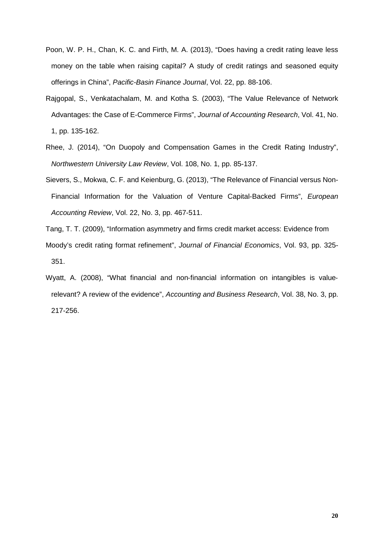- Poon, W. P. H., Chan, K. C. and Firth, M. A. (2013), "Does having a credit rating leave less money on the table when raising capital? A study of credit ratings and seasoned equity offerings in China", *Pacific-Basin Finance Journal*, Vol. 22, pp. 88-106.
- Rajgopal, S., Venkatachalam, M. and Kotha S. (2003), "The Value Relevance of Network Advantages: the Case of E-Commerce Firms", *Journal of Accounting Research*, Vol. 41, No. 1, pp. 135-162.
- Rhee, J. (2014), "On Duopoly and Compensation Games in the Credit Rating Industry", *Northwestern University Law Review*, Vol. 108, No. 1, pp. 85-137.
- Sievers, S., Mokwa, C. F. and Keienburg, G. (2013), "The Relevance of Financial versus Non-Financial Information for the Valuation of Venture Capital-Backed Firms", *European Accounting Review*, Vol. 22, No. 3, pp. 467-511.
- Tang, T. T. (2009), "Information asymmetry and firms credit market access: Evidence from
- Moody's credit rating format refinement", *Journal of Financial Economics*, Vol. 93, pp. 325- 351.
- Wyatt, A. (2008), "What financial and non-financial information on intangibles is valuerelevant? A review of the evidence", *Accounting and Business Research*, Vol. 38, No. 3, pp. 217-256.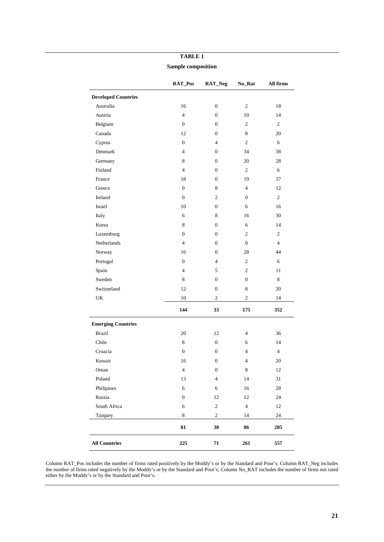|                                   | RAT_Pos          | RAT_Neg          | No_Rat         | All firms      |
|-----------------------------------|------------------|------------------|----------------|----------------|
| <b>Developed Countries</b>        |                  |                  |                |                |
| Australia                         | 16               | $\boldsymbol{0}$ | 2              | 18             |
| Austria                           | $\overline{4}$   | 0                | 10             | 14             |
| Belgium                           | $\mathbf{0}$     | $\overline{0}$   | $\overline{c}$ | $\overline{2}$ |
| Canada                            | 12               | 0                | 8              | 20             |
| Cyprus                            | $\overline{0}$   | $\overline{4}$   | $\overline{2}$ | 6              |
| Denmark                           | $\overline{4}$   | 0                | 34             | 38             |
| Germany                           | 8                | $\overline{0}$   | 20             | 28             |
| Finland                           | $\overline{4}$   | 0                | 2              | 6              |
| France                            | 18               | $\overline{0}$   | 19             | 37             |
| Greece                            | $\boldsymbol{0}$ | 8                | $\overline{4}$ | 12             |
| Ireland                           | $\mathbf{0}$     | $\mathfrak{2}$   | $\overline{0}$ | 2              |
| Israel                            | 10               | 0                | 6              | 16             |
| Italy                             | 6                | 8                | 16             | 30             |
| Korea                             | 8                | $\boldsymbol{0}$ | 6              | 14             |
| Luxemburg                         | $\mathbf{0}$     | $\overline{0}$   | $\overline{c}$ | 2              |
| <b>Netherlands</b>                | $\overline{4}$   | 0                | $\overline{0}$ | $\overline{4}$ |
| Norway                            | 16               | $\overline{0}$   | 28             | 44             |
| Portugal                          | $\boldsymbol{0}$ | $\overline{4}$   | $\overline{c}$ | 6              |
| Spain                             | $\overline{4}$   | 5                | $\overline{2}$ | 11             |
| Sweden                            | 8                | $\boldsymbol{0}$ | $\overline{0}$ | 8              |
| Switzerland                       | 12               | $\boldsymbol{0}$ | 8              | 20             |
| $\ensuremath{\mathrm{UK}}\xspace$ | 10               | $\overline{c}$   | $\overline{c}$ | 14             |
|                                   | 144              | 33               | 175            | 352            |
| <b>Emerging Countries</b>         |                  |                  |                |                |
| <b>Brazil</b>                     | 20               | 12               | $\overline{4}$ | 36             |
| Chile                             | 8                | $\boldsymbol{0}$ | 6              | 14             |
| Croacia                           | $\boldsymbol{0}$ | 0                | $\overline{4}$ | $\overline{4}$ |
| Kuwait                            | 16               | $\overline{0}$   | $\overline{4}$ | 20             |
| Oman                              | $\overline{4}$   | $\boldsymbol{0}$ | $\,8\,$        | 12             |
| Poland                            | 13               | $\overline{4}$   | 14             | 31             |
| Philipines                        | 6                | 6                | 16             | 28             |
| Russia                            | $\boldsymbol{0}$ | 12               | 12             | 24             |
| South Africa                      | 6                | $\sqrt{2}$       | $\overline{4}$ | $12\,$         |
| Turquey                           | $\,8\,$          | $\sqrt{2}$       | 14             | 24             |
|                                   | 81               | 38               | 86             | 205            |
| <b>All Countries</b>              | 225              | 71               | 261            | 557            |

### **TABLE 1**

**Sample composition**

Column RAT\_Pos includes the number of firms rated positively by the Moddy's or by the Standard and Poor's. Column RAT\_Neg includes the number of firms rated negatively by the Moddy's or by the Standard and Poor's; Column No\_RAT includes the number of firms not rated either by the Moddy's or by the Standard and Poor's.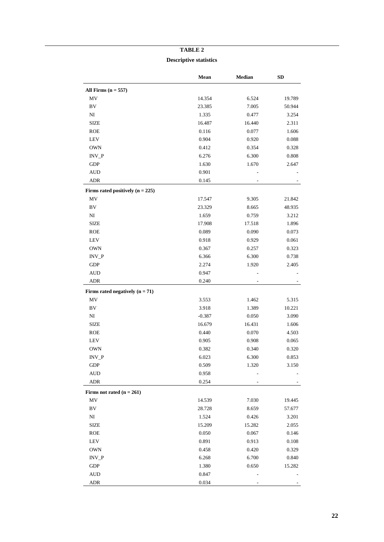## **TABLE 2 Descriptive statistics**

|                                    | Mean     | Median | <b>SD</b> |
|------------------------------------|----------|--------|-----------|
| All Firms $(n = 557)$              |          |        |           |
| MV                                 | 14.354   | 6.524  | 19.789    |
| ${\rm BV}$                         | 23.385   | 7.005  | 50.944    |
| $_{\rm NI}$                        | 1.335    | 0.477  | 3.254     |
| <b>SIZE</b>                        | 16.487   | 16.440 | 2.311     |
| <b>ROE</b>                         | 0.116    | 0.077  | 1.606     |
| <b>LEV</b>                         | 0.904    | 0.920  | 0.088     |
| <b>OWN</b>                         | 0.412    | 0.354  | 0.328     |
| $INV_P$                            | 6.276    | 6.300  | 0.808     |
| <b>GDP</b>                         | 1.630    | 1.670  | 2.647     |
| <b>AUD</b>                         | 0.901    |        |           |
| ADR                                | 0.145    |        |           |
| Firms rated positively $(n = 225)$ |          |        |           |
| MV                                 | 17.547   | 9.305  | 21.842    |
| BV                                 | 23.329   | 8.665  | 48.935    |
| N <sub>I</sub>                     | 1.659    | 0.759  | 3.212     |
| <b>SIZE</b>                        | 17.908   | 17.518 | 1.896     |
| <b>ROE</b>                         | 0.089    | 0.090  | 0.073     |
| <b>LEV</b>                         | 0.918    | 0.929  | 0.061     |
| <b>OWN</b>                         | 0.367    | 0.257  | 0.323     |
| $INV_P$                            | 6.366    | 6.300  | 0.738     |
| <b>GDP</b>                         |          |        |           |
|                                    | 2.274    | 1.920  | 2.405     |
| <b>AUD</b><br><b>ADR</b>           | 0.947    |        |           |
|                                    | 0.240    |        |           |
| Firms rated negatively $(n = 71)$  |          |        |           |
| MV                                 | 3.553    | 1.462  | 5.315     |
| BV                                 | 3.918    | 1.389  | 10.221    |
| $_{\rm NI}$                        | $-0.387$ | 0.050  | 3.090     |
| <b>SIZE</b>                        | 16.679   | 16.431 | 1.606     |
| <b>ROE</b>                         | 0.440    | 0.070  | 4.503     |
| LEV                                | 0.905    | 0.908  | 0.065     |
| <b>OWN</b>                         | 0.382    | 0.340  | 0.320     |
| $\text{INV\_P}$                    | 6.023    | 6.300  | 0.853     |
| GDP                                | 0.509    | 1.320  | 3.150     |
| <b>AUD</b>                         | 0.958    |        |           |
| ADR                                | 0.254    |        |           |
| Firms not rated $(n = 261)$        |          |        |           |
| MV                                 | 14.539   | 7.030  | 19.445    |
| BV                                 | 28.728   | 8.659  | 57.677    |
| NI                                 | 1.524    | 0.426  | 3.201     |
| <b>SIZE</b>                        | 15.209   | 15.282 | 2.055     |
| <b>ROE</b>                         | 0.050    | 0.067  | 0.146     |
| LEV                                | 0.891    | 0.913  | 0.108     |
| <b>OWN</b>                         | 0.458    | 0.420  | 0.329     |
| $INV_P$                            | 6.268    | 6.700  | 0.840     |
| GDP                                | 1.380    | 0.650  | 15.282    |
| <b>AUD</b>                         | 0.847    |        |           |
| ADR                                | 0.034    |        |           |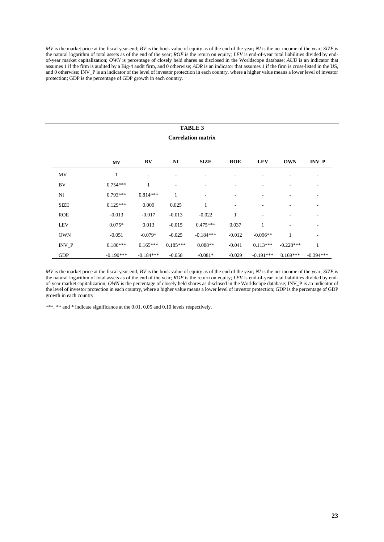*MV* is the market price at the fiscal year-end; *BV* is the book value of equity as of the end of the year; *NI* is the net income of the year; *SIZE* is the natural logarithm of total assets as of the end of the year; *ROE* is the return on equity; *LEV* is end-of-year total liabilities divided by endof-year market capitalization; *OWN* is percentage of closely held shares as disclosed in the Worldscope database; *AUD* is an indicator that assumes 1 if the firm is audited by a Big-4 audit firm, and 0 otherwise; *ADR* is an indicator that assumes 1 if the firm is cross-listed in the US, and 0 otherwise; INV\_P is an indicator of the level of investor protection in each country, where a higher value means a lower level of investor protection; GDP is the percentage of GDP growth in each country.

## **TABLE 3**

#### **Correlation matrix**

|              | MV          | BV          | N <sub>I</sub>           | <b>SIZE</b> | <b>ROE</b> | <b>LEV</b>  | <b>OWN</b>  | <b>INV P</b> |
|--------------|-------------|-------------|--------------------------|-------------|------------|-------------|-------------|--------------|
| MV           | -1          |             |                          |             |            |             |             |              |
| BV           | $0.754***$  |             | $\overline{\phantom{a}}$ | ۰           |            | ۰           |             |              |
| NI           | $0.793***$  | $0.814***$  | 1                        | ۰           |            |             |             |              |
| <b>SIZE</b>  | $0.129***$  | 0.009       | 0.025                    |             |            |             |             |              |
| <b>ROE</b>   | $-0.013$    | $-0.017$    | $-0.013$                 | $-0.022$    | 1          |             |             |              |
| <b>LEV</b>   | $0.075*$    | 0.013       | $-0.015$                 | $0.475***$  | 0.037      | 1           |             |              |
| <b>OWN</b>   | $-0.051$    | $-0.079*$   | $-0.025$                 | $-0.184***$ | $-0.012$   | $-0.096**$  | 1           | ۰            |
| <b>INV P</b> | $0.180***$  | $0.165***$  | $0.185***$               | $0.088**$   | $-0.041$   | $0.113***$  | $-0.228***$ |              |
| <b>GDP</b>   | $-0.190***$ | $-0.184***$ | $-0.058$                 | $-0.081*$   | $-0.029$   | $-0.191***$ | $0.169***$  | $-0.394***$  |

*MV* is the market price at the fiscal year-end; *BV* is the book value of equity as of the end of the year; *NI* is the net income of the year; *SIZE* is the natural logarithm of total assets as of the end of the year; *ROE* is the return on equity; *LEV* is end-of-year total liabilities divided by endof-year market capitalization; *OWN* is the percentage of closely held shares as disclosed in the Worldscope database; INV\_P is an indicator of the level of investor protection in each country, where a higher value means a lower level of investor protection; GDP is the percentage of GDP growth in each country.

\*\*\*, \*\* and \* indicate significance at the 0.01, 0.05 and 0.10 levels respectively.